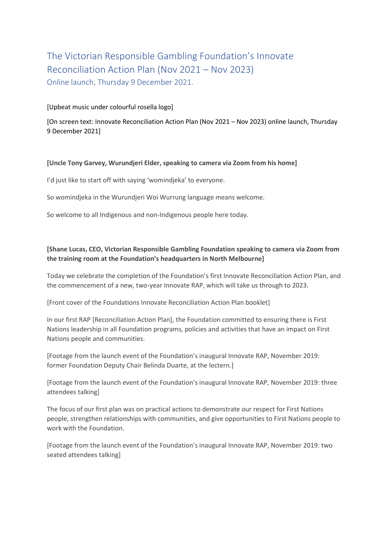# The Victorian Responsible Gambling Foundation's Innovate Reconciliation Action Plan (Nov 2021 – Nov 2023) Online launch, Thursday 9 December 2021.

### [Upbeat music under colourful rosella logo]

[On screen text: Innovate Reconciliation Action Plan (Nov 2021 – Nov 2023) online launch, Thursday 9 December 2021]

#### **[Uncle Tony Garvey, Wurundjeri Elder, speaking to camera via Zoom from his home]**

I'd just like to start off with saying 'womindjeka' to everyone.

So womindjeka in the Wurundjeri Woi Wurrung language means welcome.

So welcome to all Indigenous and non-Indigenous people here today.

## **[Shane Lucas, CEO, Victorian Responsible Gambling Foundation speaking to camera via Zoom from the training room at the Foundation's headquarters in North Melbourne]**

Today we celebrate the completion of the Foundation's first Innovate Reconciliation Action Plan, and the commencement of a new, two-year Innovate RAP, which will take us through to 2023.

[Front cover of the Foundations Innovate Reconciliation Action Plan booklet]

In our first RAP [Reconciliation Action Plan], the Foundation committed to ensuring there is First Nations leadership in all Foundation programs, policies and activities that have an impact on First Nations people and communities.

[Footage from the launch event of the Foundation's inaugural Innovate RAP, November 2019: former Foundation Deputy Chair Belinda Duarte, at the lectern.]

[Footage from the launch event of the Foundation's inaugural Innovate RAP, November 2019: three attendees talking]

The focus of our first plan was on practical actions to demonstrate our respect for First Nations people, strengthen relationships with communities, and give opportunities to First Nations people to work with the Foundation.

[Footage from the launch event of the Foundation's inaugural Innovate RAP, November 2019: two seated attendees talking]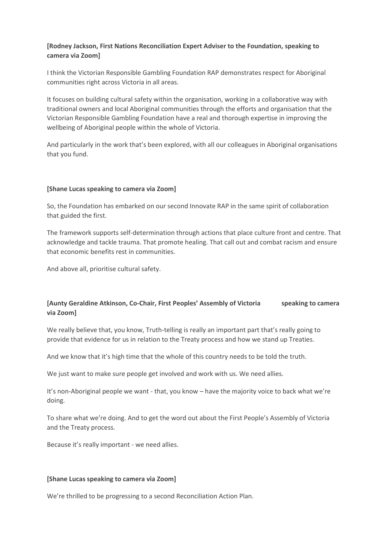## **[Rodney Jackson, First Nations Reconciliation Expert Adviser to the Foundation, speaking to camera via Zoom]**

I think the Victorian Responsible Gambling Foundation RAP demonstrates respect for Aboriginal communities right across Victoria in all areas.

It focuses on building cultural safety within the organisation, working in a collaborative way with traditional owners and local Aboriginal communities through the efforts and organisation that the Victorian Responsible Gambling Foundation have a real and thorough expertise in improving the wellbeing of Aboriginal people within the whole of Victoria.

And particularly in the work that's been explored, with all our colleagues in Aboriginal organisations that you fund.

#### **[Shane Lucas speaking to camera via Zoom]**

So, the Foundation has embarked on our second Innovate RAP in the same spirit of collaboration that guided the first.

The framework supports self-determination through actions that place culture front and centre. That acknowledge and tackle trauma. That promote healing. That call out and combat racism and ensure that economic benefits rest in communities.

And above all, prioritise cultural safety.

## **[Aunty Geraldine Atkinson, Co-Chair, First Peoples' Assembly of Victoria speaking to camera via Zoom]**

We really believe that, you know, Truth-telling is really an important part that's really going to provide that evidence for us in relation to the Treaty process and how we stand up Treaties.

And we know that it's high time that the whole of this country needs to be told the truth.

We just want to make sure people get involved and work with us. We need allies.

It's non-Aboriginal people we want - that, you know – have the majority voice to back what we're doing.

To share what we're doing. And to get the word out about the First People's Assembly of Victoria and the Treaty process.

Because it's really important - we need allies.

#### **[Shane Lucas speaking to camera via Zoom]**

We're thrilled to be progressing to a second Reconciliation Action Plan.